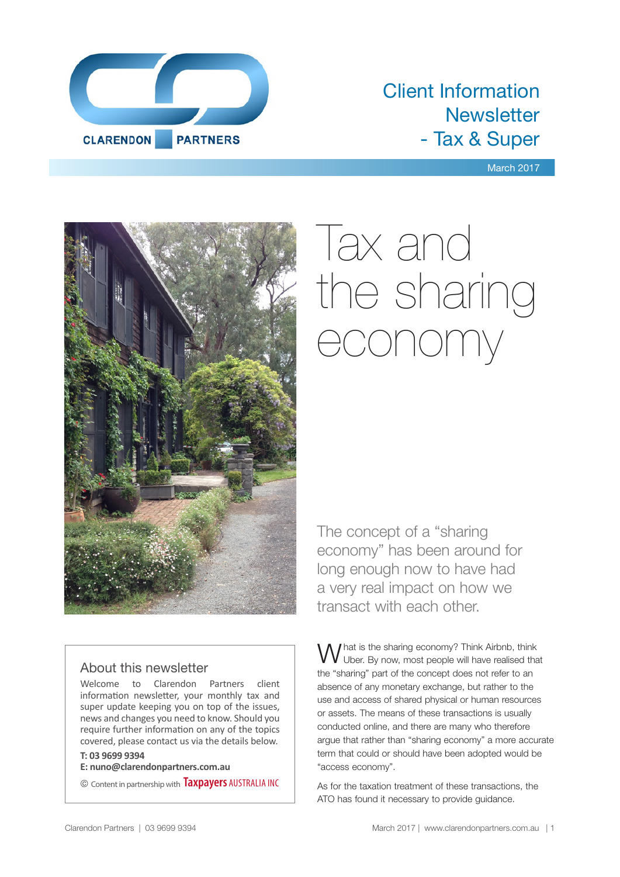

### Client Information **Newsletter** - Tax & Super

March 2017



# Tax and the sharing economy

The concept of a "sharing economy" has been around for long enough now to have had a very real impact on how we transact with each other.

#### About this newsletter

Welcome to Clarendon Partners client information newsletter, your monthly tax and super update keeping you on top of the issues, news and changes you need to know. Should you require further information on any of the topics covered, please contact us via the details below.

#### **T: 03 9699 9394**

**E: nuno@clarendonpartners.com.au**

© Content in partnership with **Taxpayers** AUSTRALIA INC

What is the sharing economy? Think Airbnb, think<br>W Uber. By now, most people will have realised that the "sharing" part of the concept does not refer to an absence of any monetary exchange, but rather to the use and access of shared physical or human resources or assets. The means of these transactions is usually conducted online, and there are many who therefore argue that rather than "sharing economy" a more accurate term that could or should have been adopted would be "access economy".

As for the taxation treatment of these transactions, the ATO has found it necessary to provide guidance.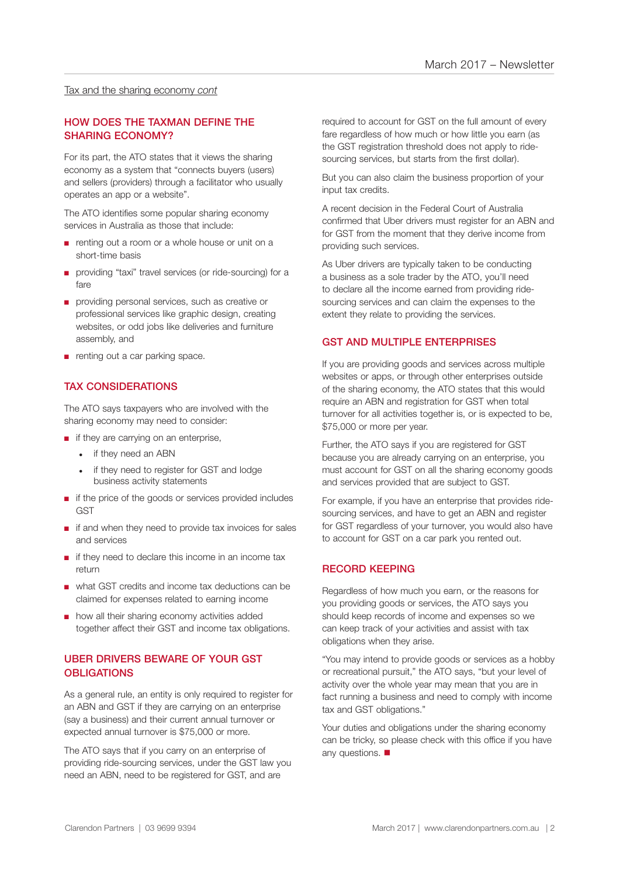#### Tax and the sharing economy *cont*

#### HOW DOES THE TAXMAN DEFINE THE SHARING ECONOMY?

For its part, the ATO states that it views the sharing economy as a system that "connects buyers (users) and sellers (providers) through a facilitator who usually operates an app or a website".

The ATO identifies some popular sharing economy services in Australia as those that include:

- renting out a room or a whole house or unit on a short-time basis
- providing "taxi" travel services (or ride-sourcing) for a fare
- providing personal services, such as creative or professional services like graphic design, creating websites, or odd jobs like deliveries and furniture assembly, and
- renting out a car parking space.

#### TAX CONSIDERATIONS

The ATO says taxpayers who are involved with the sharing economy may need to consider:

- if they are carrying on an enterprise,
	- if they need an ABN
	- if they need to register for GST and lodge business activity statements
- if the price of the goods or services provided includes **GST**
- if and when they need to provide tax invoices for sales and services
- if they need to declare this income in an income tax return
- what GST credits and income tax deductions can be claimed for expenses related to earning income
- how all their sharing economy activities added together affect their GST and income tax obligations.

#### UBER DRIVERS BEWARE OF YOUR GST **OBLIGATIONS**

As a general rule, an entity is only required to register for an ABN and GST if they are carrying on an enterprise (say a business) and their current annual turnover or expected annual turnover is \$75,000 or more.

The ATO says that if you carry on an enterprise of providing ride-sourcing services, under the GST law you need an ABN, need to be registered for GST, and are

required to account for GST on the full amount of every fare regardless of how much or how little you earn (as the GST registration threshold does not apply to ridesourcing services, but starts from the first dollar).

But you can also claim the business proportion of your input tax credits.

A recent decision in the Federal Court of Australia confirmed that Uber drivers must register for an ABN and for GST from the moment that they derive income from providing such services.

As Uber drivers are typically taken to be conducting a business as a sole trader by the ATO, you'll need to declare all the income earned from providing ridesourcing services and can claim the expenses to the extent they relate to providing the services.

#### GST AND MULTIPLE ENTERPRISES

If you are providing goods and services across multiple websites or apps, or through other enterprises outside of the sharing economy, the ATO states that this would require an ABN and registration for GST when total turnover for all activities together is, or is expected to be, \$75,000 or more per year.

Further, the ATO says if you are registered for GST because you are already carrying on an enterprise, you must account for GST on all the sharing economy goods and services provided that are subject to GST.

For example, if you have an enterprise that provides ridesourcing services, and have to get an ABN and register for GST regardless of your turnover, you would also have to account for GST on a car park you rented out.

#### RECORD KEEPING

Regardless of how much you earn, or the reasons for you providing goods or services, the ATO says you should keep records of income and expenses so we can keep track of your activities and assist with tax obligations when they arise.

"You may intend to provide goods or services as a hobby or recreational pursuit," the ATO says, "but your level of activity over the whole year may mean that you are in fact running a business and need to comply with income tax and GST obligations."

Your duties and obligations under the sharing economy can be tricky, so please check with this office if you have any questions.  $\blacksquare$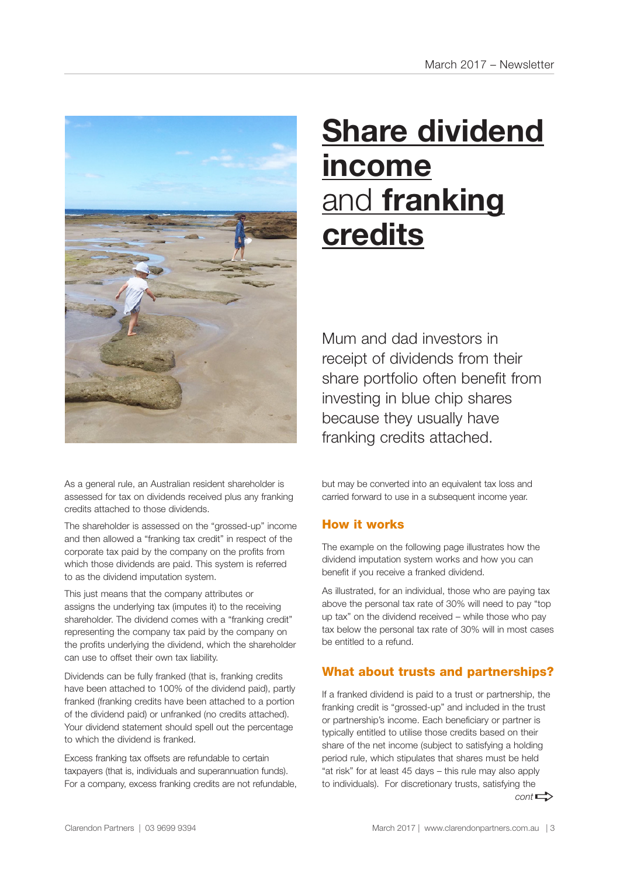

As a general rule, an Australian resident shareholder is assessed for tax on dividends received plus any franking credits attached to those dividends.

The shareholder is assessed on the "grossed-up" income and then allowed a "franking tax credit" in respect of the corporate tax paid by the company on the profits from which those dividends are paid. This system is referred to as the dividend imputation system.

This just means that the company attributes or assigns the underlying tax (imputes it) to the receiving shareholder. The dividend comes with a "franking credit" representing the company tax paid by the company on the profits underlying the dividend, which the shareholder can use to offset their own tax liability.

Dividends can be fully franked (that is, franking credits have been attached to 100% of the dividend paid), partly franked (franking credits have been attached to a portion of the dividend paid) or unfranked (no credits attached). Your dividend statement should spell out the percentage to which the dividend is franked.

Excess franking tax offsets are refundable to certain taxpayers (that is, individuals and superannuation funds). For a company, excess franking credits are not refundable,

# **Share dividend income** and **franking credits**

Mum and dad investors in receipt of dividends from their share portfolio often benefit from investing in blue chip shares because they usually have franking credits attached.

but may be converted into an equivalent tax loss and carried forward to use in a subsequent income year.

#### How it works

The example on the following page illustrates how the dividend imputation system works and how you can benefit if you receive a franked dividend.

As illustrated, for an individual, those who are paying tax above the personal tax rate of 30% will need to pay "top up tax" on the dividend received – while those who pay tax below the personal tax rate of 30% will in most cases be entitled to a refund.

#### What about trusts and partnerships?

If a franked dividend is paid to a trust or partnership, the franking credit is "grossed-up" and included in the trust or partnership's income. Each beneficiary or partner is typically entitled to utilise those credits based on their share of the net income (subject to satisfying a holding period rule, which stipulates that shares must be held "at risk" for at least 45 days – this rule may also apply to individuals). For discretionary trusts, satisfying the  $cont \rightarrow$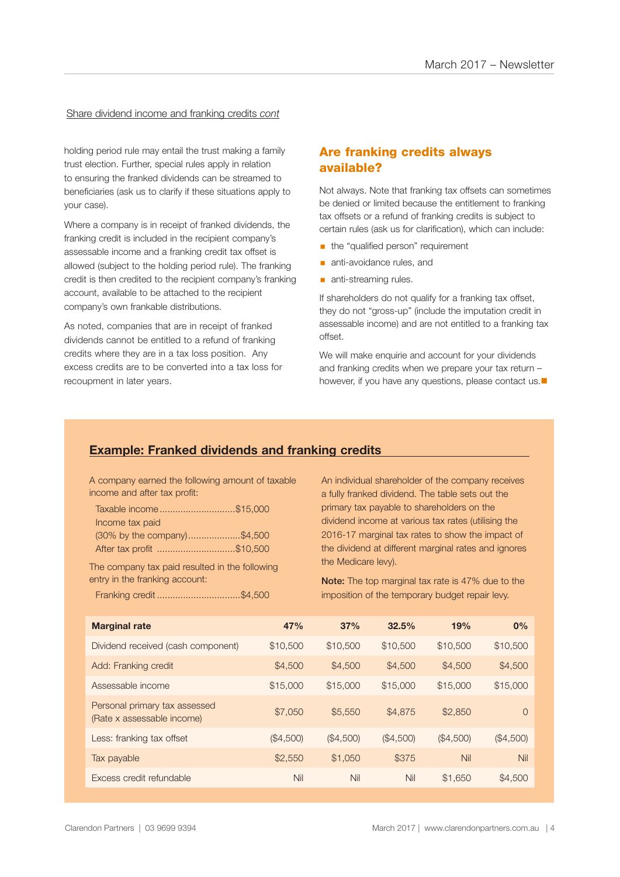#### Share dividend income and franking credits *cont*

holding period rule may entail the trust making a family trust election. Further, special rules apply in relation to ensuring the franked dividends can be streamed to beneficiaries (ask us to clarify if these situations apply to your case).

Where a company is in receipt of franked dividends, the franking credit is included in the recipient company's assessable income and a franking credit tax offset is allowed (subject to the holding period rule). The franking credit is then credited to the recipient company's franking account, available to be attached to the recipient company's own frankable distributions.

As noted, companies that are in receipt of franked dividends cannot be entitled to a refund of franking credits where they are in a tax loss position. Any excess credits are to be converted into a tax loss for recoupment in later years.

#### Are franking credits always available?

Not always. Note that franking tax offsets can sometimes be denied or limited because the entitlement to franking tax offsets or a refund of franking credits is subject to certain rules (ask us for clarification), which can include:

- **•** the "qualified person" requirement
- **anti-avoidance rules, and**
- **anti-streaming rules.**

If shareholders do not qualify for a franking tax offset, they do not "gross-up" (include the imputation credit in assessable income) and are not entitled to a franking tax offset.

We will make enquirie and account for your dividends and franking credits when we prepare your tax return – however, if you have any questions, please contact us. $\blacksquare$ 

#### **Example: Franked dividends and franking credits**

A company earned the following amount of taxable income and after tax profit:

| Taxable income\$15,000      |  |
|-----------------------------|--|
| Income tax paid             |  |
| (30% by the company)\$4,500 |  |
| After tax profit \$10,500   |  |

The company tax paid resulted in the following entry in the franking account:

Franking credit ................................\$4,500

An individual shareholder of the company receives a fully franked dividend. The table sets out the primary tax payable to shareholders on the dividend income at various tax rates (utilising the 2016-17 marginal tax rates to show the impact of the dividend at different marginal rates and ignores the Medicare levy).

Note: The top marginal tax rate is 47% due to the imposition of the temporary budget repair levy.

| <b>Marginal rate</b>                                        | 47%       | 37%       | 32.5%     | 19%       | 0%        |
|-------------------------------------------------------------|-----------|-----------|-----------|-----------|-----------|
| Dividend received (cash component)                          | \$10,500  | \$10,500  | \$10,500  | \$10,500  | \$10,500  |
| Add: Franking credit                                        | \$4,500   | \$4,500   | \$4,500   | \$4,500   | \$4,500   |
| Assessable income                                           | \$15,000  | \$15,000  | \$15,000  | \$15,000  | \$15,000  |
| Personal primary tax assessed<br>(Rate x assessable income) | \$7,050   | \$5,550   | \$4,875   | \$2,850   | $\Omega$  |
| Less: franking tax offset                                   | (\$4,500) | (\$4,500) | (\$4,500) | (\$4,500) | (\$4,500) |
| Tax payable                                                 | \$2,550   | \$1,050   | \$375     | Nil       | Nil       |
| Excess credit refundable                                    | Nil       | Nil       | Nil       | \$1,650   | \$4,500   |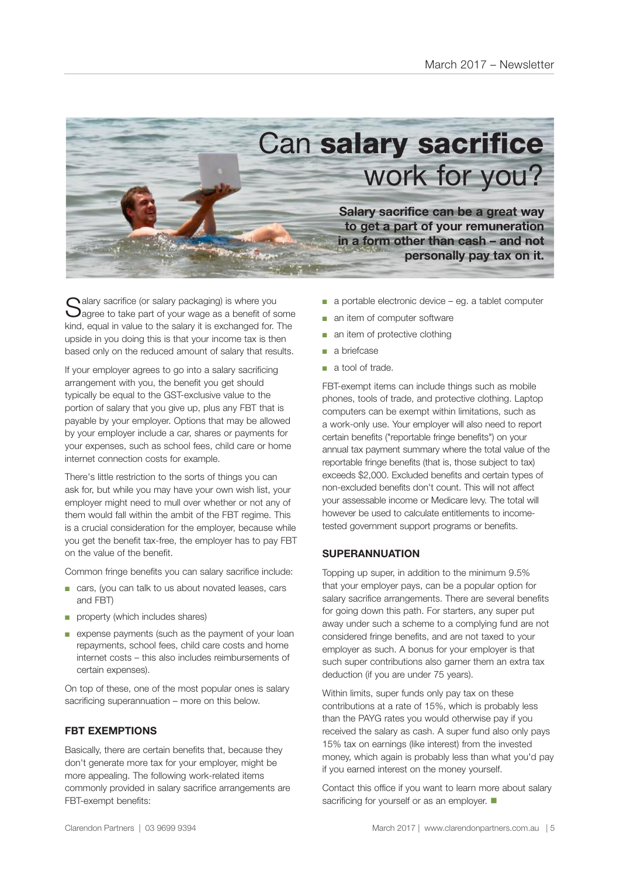

 $\bigcap$  alary sacrifice (or salary packaging) is where you  $\bigcup$ agree to take part of your wage as a benefit of some kind, equal in value to the salary it is exchanged for. The upside in you doing this is that your income tax is then based only on the reduced amount of salary that results.

If your employer agrees to go into a salary sacrificing arrangement with you, the benefit you get should typically be equal to the GST-exclusive value to the portion of salary that you give up, plus any FBT that is payable by your employer. Options that may be allowed by your employer include a car, shares or payments for your expenses, such as school fees, child care or home internet connection costs for example.

There's little restriction to the sorts of things you can ask for, but while you may have your own wish list, your employer might need to mull over whether or not any of them would fall within the ambit of the FBT regime. This is a crucial consideration for the employer, because while you get the benefit tax-free, the employer has to pay FBT on the value of the benefit.

Common fringe benefits you can salary sacrifice include:

- cars, (you can talk to us about novated leases, cars and FBT)
- property (which includes shares)
- expense payments (such as the payment of your loan repayments, school fees, child care costs and home internet costs – this also includes reimbursements of certain expenses).

On top of these, one of the most popular ones is salary sacrificing superannuation – more on this below.

#### **FBT EXEMPTIONS**

Basically, there are certain benefits that, because they don't generate more tax for your employer, might be more appealing. The following work-related items commonly provided in salary sacrifice arrangements are FBT-exempt benefits:

- a portable electronic device eg. a tablet computer
- an item of computer software
- an item of protective clothing
- a briefcase
- a tool of trade.

FBT-exempt items can include things such as mobile phones, tools of trade, and protective clothing. Laptop computers can be exempt within limitations, such as a work-only use. Your employer will also need to report certain benefits ("reportable fringe benefits") on your annual tax payment summary where the total value of the reportable fringe benefits (that is, those subject to tax) exceeds \$2,000. Excluded benefits and certain types of non-excluded benefits don't count. This will not affect your assessable income or Medicare levy. The total will however be used to calculate entitlements to incometested government support programs or benefits.

#### **SUPERANNUATION**

Topping up super, in addition to the minimum 9.5% that your employer pays, can be a popular option for salary sacrifice arrangements. There are several benefits for going down this path. For starters, any super put away under such a scheme to a complying fund are not considered fringe benefits, and are not taxed to your employer as such. A bonus for your employer is that such super contributions also garner them an extra tax deduction (if you are under 75 years).

Within limits, super funds only pay tax on these contributions at a rate of 15%, which is probably less than the PAYG rates you would otherwise pay if you received the salary as cash. A super fund also only pays 15% tax on earnings (like interest) from the invested money, which again is probably less than what you'd pay if you earned interest on the money yourself.

Contact this office if you want to learn more about salary sacrificing for yourself or as an employer.  $\blacksquare$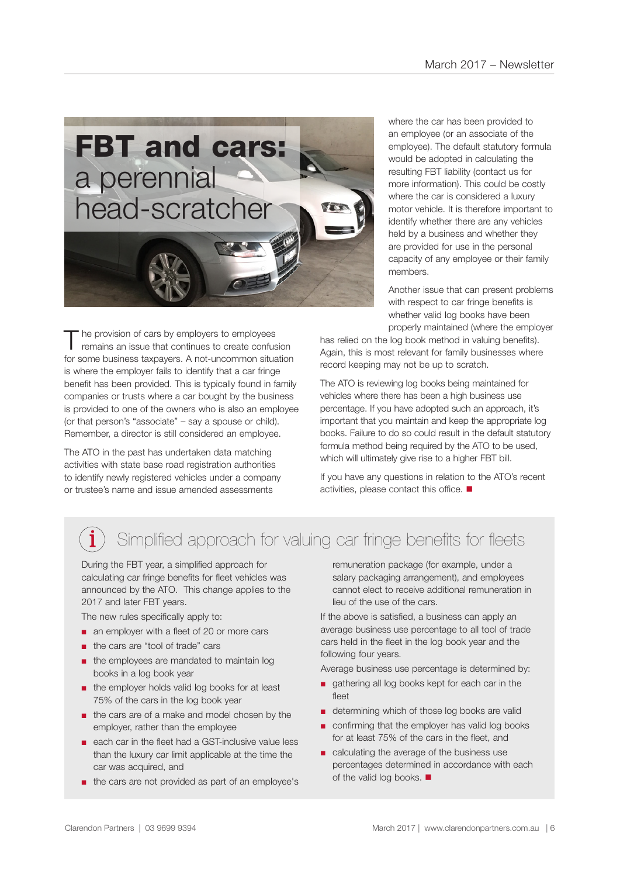

The provision of cars by employers to employees<br>
remains an issue that continues to create confusion for some business taxpayers. A not-uncommon situation is where the employer fails to identify that a car fringe benefit has been provided. This is typically found in family companies or trusts where a car bought by the business is provided to one of the owners who is also an employee (or that person's "associate" – say a spouse or child). Remember, a director is still considered an employee.

The ATO in the past has undertaken data matching activities with state base road registration authorities to identify newly registered vehicles under a company or trustee's name and issue amended assessments

where the car has been provided to an employee (or an associate of the employee). The default statutory formula would be adopted in calculating the resulting FBT liability (contact us for more information). This could be costly where the car is considered a luxury motor vehicle. It is therefore important to identify whether there are any vehicles held by a business and whether they are provided for use in the personal capacity of any employee or their family members.

Another issue that can present problems with respect to car fringe benefits is whether valid log books have been properly maintained (where the employer

has relied on the log book method in valuing benefits). Again, this is most relevant for family businesses where record keeping may not be up to scratch.

The ATO is reviewing log books being maintained for vehicles where there has been a high business use percentage. If you have adopted such an approach, it's important that you maintain and keep the appropriate log books. Failure to do so could result in the default statutory formula method being required by the ATO to be used, which will ultimately give rise to a higher FBT bill.

If you have any questions in relation to the ATO's recent activities, please contact this office.  $\blacksquare$ 

### Simplified approach for valuing car fringe benefits for fleets

During the FBT year, a simplified approach for calculating car fringe benefits for fleet vehicles was announced by the ATO. This change applies to the 2017 and later FBT years.

The new rules specifically apply to:

- an employer with a fleet of 20 or more cars
- the cars are "tool of trade" cars
- the employees are mandated to maintain log books in a log book year
- the employer holds valid log books for at least 75% of the cars in the log book year
- the cars are of a make and model chosen by the employer, rather than the employee
- each car in the fleet had a GST-inclusive value less than the luxury car limit applicable at the time the car was acquired, and
- the cars are not provided as part of an employee's

remuneration package (for example, under a salary packaging arrangement), and employees cannot elect to receive additional remuneration in lieu of the use of the cars.

If the above is satisfied, a business can apply an average business use percentage to all tool of trade cars held in the fleet in the log book year and the following four years.

Average business use percentage is determined by:

- gathering all log books kept for each car in the fleet
- determining which of those log books are valid
- confirming that the employer has valid log books for at least 75% of the cars in the fleet, and
- calculating the average of the business use percentages determined in accordance with each of the valid log books.  $\blacksquare$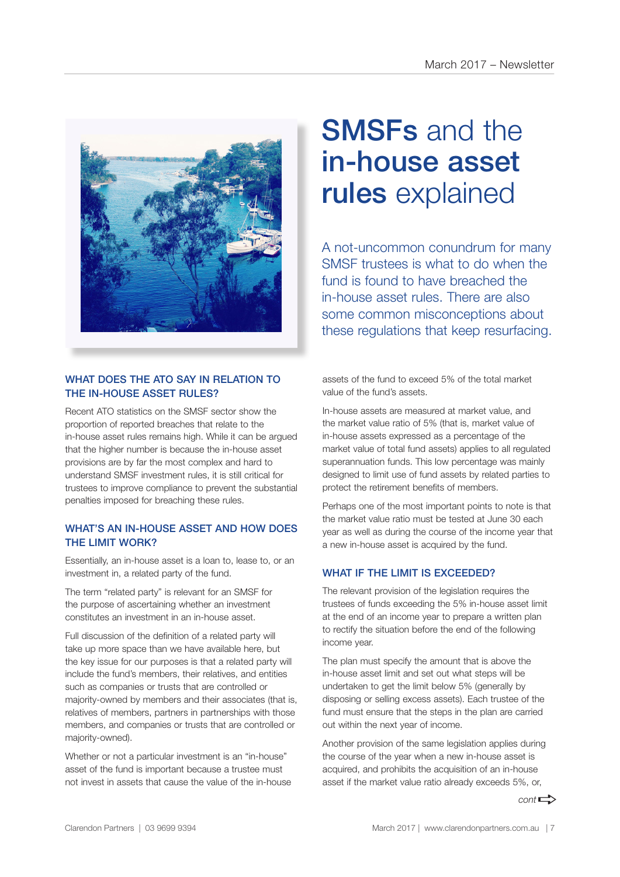

#### WHAT DOES THE ATO SAY IN RELATION TO THE IN-HOUSE ASSET RULES?

Recent ATO statistics on the SMSF sector show the proportion of reported breaches that relate to the in-house asset rules remains high. While it can be argued that the higher number is because the in-house asset provisions are by far the most complex and hard to understand SMSF investment rules, it is still critical for trustees to improve compliance to prevent the substantial penalties imposed for breaching these rules.

#### WHAT'S AN IN-HOUSE ASSET AND HOW DOES THE LIMIT WORK?

Essentially, an in-house asset is a loan to, lease to, or an investment in, a related party of the fund.

The term "related party" is relevant for an SMSF for the purpose of ascertaining whether an investment constitutes an investment in an in-house asset.

Full discussion of the definition of a related party will take up more space than we have available here, but the key issue for our purposes is that a related party will include the fund's members, their relatives, and entities such as companies or trusts that are controlled or majority-owned by members and their associates (that is, relatives of members, partners in partnerships with those members, and companies or trusts that are controlled or majority-owned).

Whether or not a particular investment is an "in-house" asset of the fund is important because a trustee must not invest in assets that cause the value of the in-house

## SMSFs and the in-house asset rules explained

A not-uncommon conundrum for many SMSF trustees is what to do when the fund is found to have breached the in-house asset rules. There are also some common misconceptions about these regulations that keep resurfacing.

assets of the fund to exceed 5% of the total market value of the fund's assets.

In-house assets are measured at market value, and the market value ratio of 5% (that is, market value of in-house assets expressed as a percentage of the market value of total fund assets) applies to all regulated superannuation funds. This low percentage was mainly designed to limit use of fund assets by related parties to protect the retirement benefits of members.

Perhaps one of the most important points to note is that the market value ratio must be tested at June 30 each year as well as during the course of the income year that a new in-house asset is acquired by the fund.

#### WHAT IF THE LIMIT IS EXCEEDED?

The relevant provision of the legislation requires the trustees of funds exceeding the 5% in-house asset limit at the end of an income year to prepare a written plan to rectify the situation before the end of the following income year.

The plan must specify the amount that is above the in-house asset limit and set out what steps will be undertaken to get the limit below 5% (generally by disposing or selling excess assets). Each trustee of the fund must ensure that the steps in the plan are carried out within the next year of income.

Another provision of the same legislation applies during the course of the year when a new in-house asset is acquired, and prohibits the acquisition of an in-house asset if the market value ratio already exceeds 5%, or,

 $cont \rightarrow$